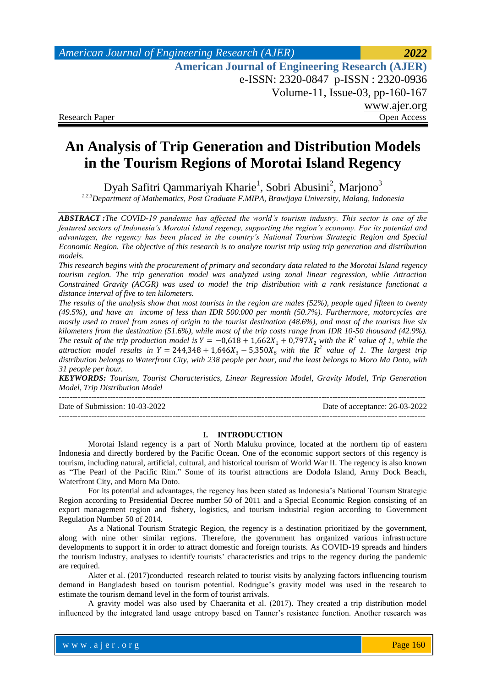*American Journal of Engineering Research (AJER) 2022*  **American Journal of Engineering Research (AJER)** e-ISSN: 2320-0847 p-ISSN : 2320-0936 Volume-11, Issue-03, pp-160-167 www.ajer.org Research Paper **Open Access** Open Access **Open Access** 

# **An Analysis of Trip Generation and Distribution Models in the Tourism Regions of Morotai Island Regency**

Dyah Safitri Qammariyah Kharie<sup>1</sup>, Sobri Abusini<sup>2</sup>, Marjono<sup>3</sup> *1,2,3Department of Mathematics, Post Graduate F.MIPA, Brawijaya University, Malang, Indonesia*

*ABSTRACT :The COVID-19 pandemic has affected the world's tourism industry. This sector is one of the featured sectors of Indonesia's Morotai Island regency, supporting the region's economy. For its potential and advantages, the regency has been placed in the country's National Tourism Strategic Region and Special Economic Region. The objective of this research is to analyze tourist trip using trip generation and distribution models.* 

*This research begins with the procurement of primary and secondary data related to the Morotai Island regency tourism region. The trip generation model was analyzed using zonal linear regression, while Attraction Constrained Gravity (ACGR) was used to model the trip distribution with a rank resistance functionat a distance interval of five to ten kilometers.* 

*The results of the analysis show that most tourists in the region are males (52%), people aged fifteen to twenty (49.5%), and have an income of less than IDR 500.000 per month (50.7%). Furthermore, motorcycles are mostly used to travel from zones of origin to the tourist destination (48.6%), and most of the tourists live six kilometers from the destination (51.6%), while most of the trip costs range from IDR 10-50 thousand (42.9%). The result of the trip production model is*  $Y = -0.618 + 1.662X_1 + 0.797X_2$  with the  $R^2$  value of 1, while the attraction model results in  $Y = 244,348 + 1,646X_3 - 5,350X_8$  with the  $R^2$  value of 1. The largest trip *distribution belongs to Waterfront City, with 238 people per hour, and the least belongs to Moro Ma Doto, with 31 people per hour.*

*KEYWORDS: Tourism, Tourist Characteristics, Linear Regression Model, Gravity Model, Trip Generation Model, Trip Distribution Model*

| Date of Submission: 10-03-2022 | Date of acceptance: 26-03-2022 |
|--------------------------------|--------------------------------|
|                                |                                |

#### **I. INTRODUCTION**

Morotai Island regency is a part of North Maluku province, located at the northern tip of eastern Indonesia and directly bordered by the Pacific Ocean. One of the economic support sectors of this regency is tourism, including natural, artificial, cultural, and historical tourism of World War II. The regency is also known as "The Pearl of the Pacific Rim." Some of its tourist attractions are Dodola Island, Army Dock Beach, Waterfront City, and Moro Ma Doto.

For its potential and advantages, the regency has been stated as Indonesia's National Tourism Strategic Region according to Presidential Decree number 50 of 2011 and a Special Economic Region consisting of an export management region and fishery, logistics, and tourism industrial region according to Government Regulation Number 50 of 2014.

As a National Tourism Strategic Region, the regency is a destination prioritized by the government, along with nine other similar regions. Therefore, the government has organized various infrastructure developments to support it in order to attract domestic and foreign tourists. As COVID-19 spreads and hinders the tourism industry, analyses to identify tourists' characteristics and trips to the regency during the pandemic are required.

Akter et al. (2017)conducted research related to tourist visits by analyzing factors influencing tourism demand in Bangladesh based on tourism potential. Rodrigue's gravity model was used in the research to estimate the tourism demand level in the form of tourist arrivals.

A gravity model was also used by Chaeranita et al. (2017). They created a trip distribution model influenced by the integrated land usage entropy based on Tanner's resistance function. Another research was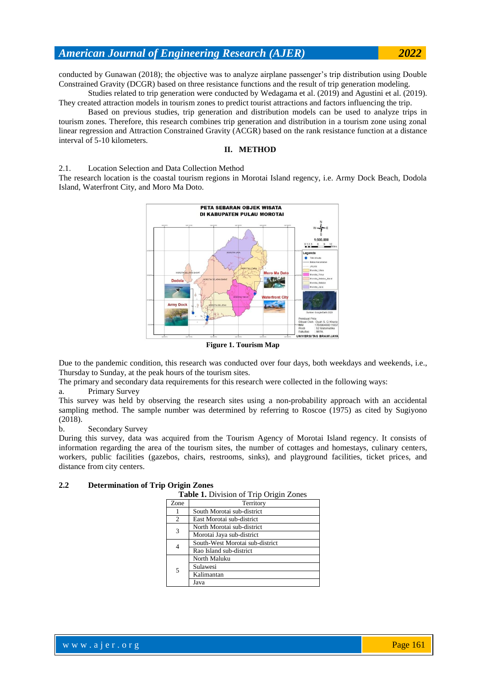conducted by Gunawan (2018); the objective was to analyze airplane passenger's trip distribution using Double Constrained Gravity (DCGR) based on three resistance functions and the result of trip generation modeling.

Studies related to trip generation were conducted by Wedagama et al. (2019) and Agustini et al. (2019). They created attraction models in tourism zones to predict tourist attractions and factors influencing the trip.

Based on previous studies, trip generation and distribution models can be used to analyze trips in tourism zones. Therefore, this research combines trip generation and distribution in a tourism zone using zonal linear regression and Attraction Constrained Gravity (ACGR) based on the rank resistance function at a distance interval of 5-10 kilometers.

#### **II. METHOD**

2.1. Location Selection and Data Collection Method

The research location is the coastal tourism regions in Morotai Island regency, i.e. Army Dock Beach, Dodola Island, Waterfront City, and Moro Ma Doto.



**Figure 1. Tourism Map**

Due to the pandemic condition, this research was conducted over four days, both weekdays and weekends, i.e., Thursday to Sunday, at the peak hours of the tourism sites.

The primary and secondary data requirements for this research were collected in the following ways:

a. Primary Survey

This survey was held by observing the research sites using a non-probability approach with an accidental sampling method. The sample number was determined by referring to Roscoe (1975) as cited by Sugiyono (2018).

b. Secondary Survey

During this survey, data was acquired from the Tourism Agency of Morotai Island regency. It consists of information regarding the area of the tourism sites, the number of cottages and homestays, culinary centers, workers, public facilities (gazebos, chairs, restrooms, sinks), and playground facilities, ticket prices, and distance from city centers.

| Table 1. Division of Trip Origin Zones |                                 |  |
|----------------------------------------|---------------------------------|--|
| <b>Zone</b>                            | Territory                       |  |
|                                        | South Morotai sub-district      |  |
| 2                                      | East Morotai sub-district       |  |
| 3                                      | North Morotai sub-district      |  |
|                                        | Morotai Jaya sub-district       |  |
|                                        | South-West Morotai sub-district |  |
|                                        | Rao Island sub-district         |  |
|                                        | North Maluku                    |  |
| 5                                      | Sulawesi                        |  |
| Kalimantan                             |                                 |  |
|                                        | Java                            |  |

| 2.2 | <b>Determination of Trip Origin Zones</b> |  |  |
|-----|-------------------------------------------|--|--|
|     |                                           |  |  |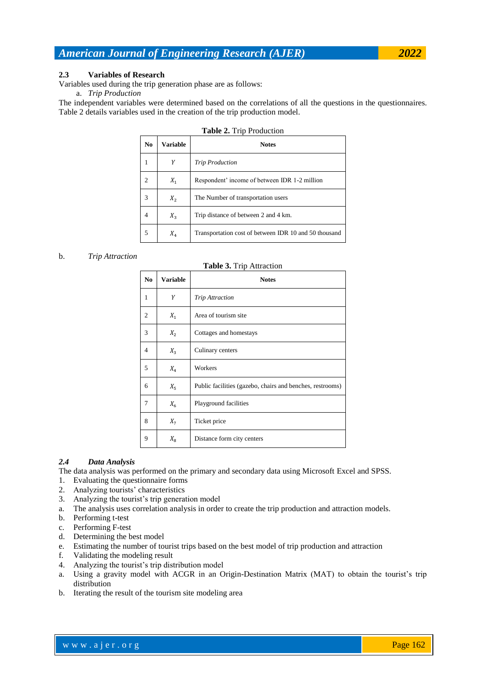# **2.3 Variables of Research**

Variables used during the trip generation phase are as follows:

a. *Trip Production*

The independent variables were determined based on the correlations of all the questions in the questionnaires. Table 2 details variables used in the creation of the trip production model.

| N <sub>0</sub> | Variable | <b>Notes</b>                                          |
|----------------|----------|-------------------------------------------------------|
|                | Υ        | <b>Trip Production</b>                                |
|                | $X_1$    | Respondent' income of between IDR 1-2 million         |
| 3              | $X_2$    | The Number of transportation users                    |
|                | $X_{3}$  | Trip distance of between 2 and 4 km.                  |
| 5              | $X_4$    | Transportation cost of between IDR 10 and 50 thousand |

**Table 2.** Trip Production

#### b. *Trip Attraction*

#### **Table 3.** Trip Attraction

| N <sub>0</sub> | <b>Variable</b> | <b>Notes</b>                                              |
|----------------|-----------------|-----------------------------------------------------------|
| $\mathbf{1}$   | Υ               | <b>Trip Attraction</b>                                    |
| $\overline{c}$ | $X_1$           | Area of tourism site                                      |
| 3              | $X_2$           | Cottages and homestays                                    |
| 4              | $X_3$           | Culinary centers                                          |
| 5              | $X_4$           | Workers                                                   |
| 6              | $X_5$           | Public facilities (gazebo, chairs and benches, restrooms) |
| 7              | $X_6$           | Playground facilities                                     |
| 8              | $X_7$           | Ticket price                                              |
| 9              | $X_{8}$         | Distance form city centers                                |

#### *2.4 Data Analysis*

The data analysis was performed on the primary and secondary data using Microsoft Excel and SPSS.

- 1. Evaluating the questionnaire forms
- 2. Analyzing tourists' characteristics
- 3. Analyzing the tourist's trip generation model
- a. The analysis uses correlation analysis in order to create the trip production and attraction models.
- b. Performing t-test
- c. Performing F-test
- d. Determining the best model
- e. Estimating the number of tourist trips based on the best model of trip production and attraction
- f. Validating the modeling result
- 4. Analyzing the tourist's trip distribution model
- a. Using a gravity model with ACGR in an Origin-Destination Matrix (MAT) to obtain the tourist's trip distribution
- b. Iterating the result of the tourism site modeling area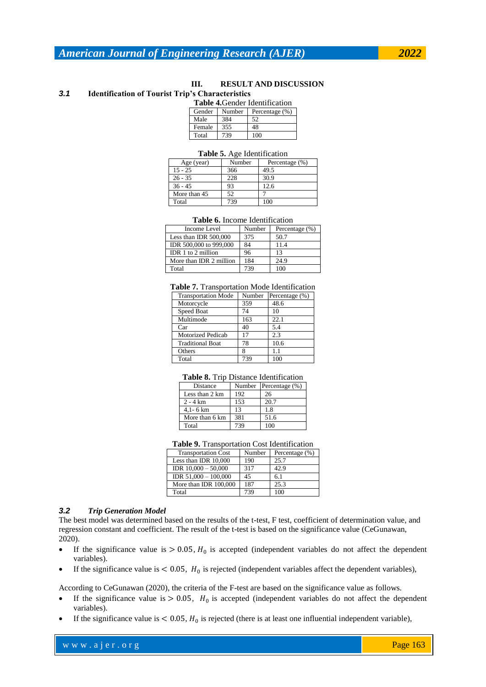#### **III. RESULT AND DISCUSSION**

# *3.1* **Identification of Tourist Trip's Characteristics**

| <b>Table 4.</b> Gender Identification |        |                |
|---------------------------------------|--------|----------------|
| Gender                                | Number | Percentage (%) |
| Male                                  | 384    | 52             |
| Female                                | 355    | 48             |
| Total                                 | 739    | 100            |

#### **Table 5.** Age Identification

| Age (year)   | Number | Percentage (%) |
|--------------|--------|----------------|
| $15 - 25$    | 366    | 49.5           |
| $26 - 35$    | 228    | 30.9           |
| $36 - 45$    | 93     | 12.6           |
| More than 45 | 52     |                |
| Total        | 739    | 100            |

#### **Table 6.** Income Identification

| Income Level            | Number | Percentage $(\%)$ |
|-------------------------|--------|-------------------|
| Less than IDR $500,000$ | 375    | 50.7              |
| IDR 500,000 to 999,000  | 84     | 11.4              |
| IDR $1$ to $2$ million  | 96     | 13                |
| More than IDR 2 million | 184    | 24.9              |
| Total                   |        |                   |

#### **Table 7.** Transportation Mode Identification

| <b>Transportation Mode</b> | Number | Percentage (%) |
|----------------------------|--------|----------------|
| Motorcycle                 | 359    | 48.6           |
| Speed Boat                 | 74     | 10             |
| Multimode                  | 163    | 22.1           |
| Car                        | 40     | 5.4            |
| <b>Motorized Pedicab</b>   | 17     | 2.3            |
| <b>Traditional Boat</b>    | 78     | 10.6           |
| Others                     | 8      | 1.1            |
| Total                      |        | 100            |

#### **Table 8.** Trip Distance Identification

| Distance             | Number | Percentage $(\% )$ |
|----------------------|--------|--------------------|
| Less than 2 km       | 192    | 26                 |
| $2 - 4 km$           | 153    | 20.7               |
| $4.1 - 6 \text{ km}$ | 13     | 1.8                |
| More than 6 km       | 381    | 51.6               |
| Total                | 739    | 100                |

#### **Table 9.** Transportation Cost Identification

| <b>Transportation Cost</b> | Number | Percentage $(\%)$ |
|----------------------------|--------|-------------------|
| Less than IDR 10,000       | 190    | 25.7              |
| IDR $10,000 - 50,000$      | 317    | 42.9              |
| IDR $51,000 - 100,000$     | 45     | 6.1               |
| More than IDR 100,000      | 187    | 25.3              |
| Total                      | 139    | 100               |

#### *3.2 Trip Generation Model*

The best model was determined based on the results of the t-test, F test, coefficient of determination value, and regression constant and coefficient. The result of the t-test is based on the significance value (CeGunawan, 2020).

- If the significance value is  $> 0.05$ ,  $H_0$  is accepted (independent variables do not affect the dependent variables).
- If the significance value is  $< 0.05$ ,  $H_0$  is rejected (independent variables affect the dependent variables),

According to CeGunawan (2020), the criteria of the F-test are based on the significance value as follows.

- If the significance value is  $> 0.05$ ,  $H_0$  is accepted (independent variables do not affect the dependent variables).
- If the significance value is  $< 0.05$ ,  $H_0$  is rejected (there is at least one influential independent variable),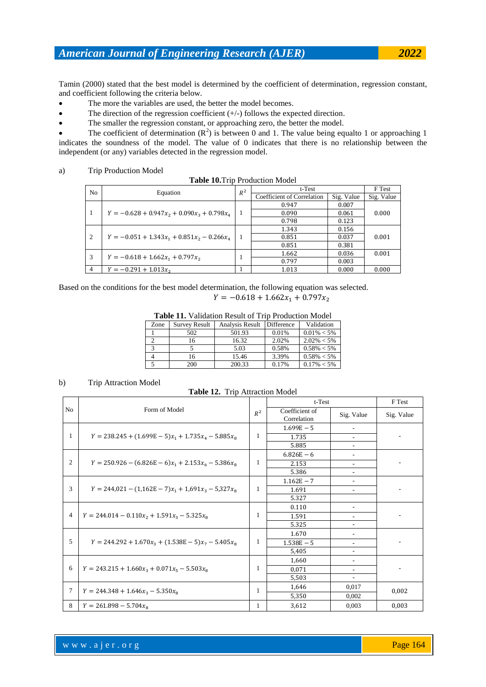Tamin (2000) stated that the best model is determined by the coefficient of determination, regression constant, and coefficient following the criteria below.

- The more the variables are used, the better the model becomes.
- The direction of the regression coefficient  $(+/-)$  follows the expected direction.
- The smaller the regression constant, or approaching zero, the better the model.

• The coefficient of determination  $(R^2)$  is between 0 and 1. The value being equalto 1 or approaching 1 indicates the soundness of the model. The value of 0 indicates that there is no relationship between the independent (or any) variables detected in the regression model.

**Table 10.**Trip Production Model

| <b>TUDIC TOI LILD L'IOGUOILON INTOGOL</b> |                                               |  |                            |            |            |  |  |  |  |
|-------------------------------------------|-----------------------------------------------|--|----------------------------|------------|------------|--|--|--|--|
|                                           | N <sub>0</sub><br>Equation                    |  | t-Test                     | F Test     |            |  |  |  |  |
|                                           |                                               |  | Coefficient of Correlation | Sig. Value | Sig. Value |  |  |  |  |
|                                           |                                               |  | 0.947                      | 0.007      |            |  |  |  |  |
|                                           | $Y = -0.628 + 0.947x_2 + 0.090x_3 + 0.798x_4$ |  | 0.090                      | 0.061      | 0.000      |  |  |  |  |
|                                           |                                               |  | 0.798                      | 0.123      |            |  |  |  |  |
|                                           |                                               |  | 1.343                      | 0.156      |            |  |  |  |  |
| 2                                         | $Y = -0.051 + 1.343x_1 + 0.851x_2 - 0.266x_4$ |  | 0.851                      | 0.037      | 0.001      |  |  |  |  |
|                                           |                                               |  | 0.851                      | 0.381      |            |  |  |  |  |
| 3                                         |                                               |  | 1.662                      | 0.036      | 0.001      |  |  |  |  |
|                                           | $Y = -0.618 + 1.662x_1 + 0.797x_2$            |  | 0.797                      | 0.003      |            |  |  |  |  |
| $\overline{4}$                            | $Y = -0.291 + 1.013x_2$                       |  | 1.013                      | 0.000      | 0.000      |  |  |  |  |

Based on the conditions for the best model determination, the following equation was selected.  $Y = -0.618 + 1.662x_1 + 0.797x_2$ 

**Table 11.** Validation Result of Trip Production Model

| Zone | <b>Survey Result</b> | Analysis Result | <b>Difference</b> | Validation     |
|------|----------------------|-----------------|-------------------|----------------|
|      | 502                  | 501.93          | 0.01%             | $0.01\% < 5\%$ |
|      | 16                   | 16.32           | 2.02%             | $2.02\% < 5\%$ |
|      |                      | 5.03            | 0.58%             | $0.58\% < 5\%$ |
|      | 16                   | 15.46           | 3.39%             | $0.58\% < 5\%$ |
|      | 200                  | 200.33          | 0.17%             | $0.17\% < 5\%$ |

### b) Trip Attraction Model

**Table 12.** Trip Attraction Model

|                |                                                       |       | t-Test                        | F Test                   |            |  |
|----------------|-------------------------------------------------------|-------|-------------------------------|--------------------------|------------|--|
| No             | Form of Model                                         | $R^2$ | Coefficient of<br>Correlation | Sig. Value               | Sig. Value |  |
|                |                                                       |       | $1.699E - 5$                  |                          |            |  |
| 1              | $Y = 238.245 + (1.699E - 5)x_1 + 1.735x_4 - 5.885x_8$ | 1     | 1.735                         | $\overline{\phantom{a}}$ |            |  |
|                |                                                       |       | 5.885                         |                          |            |  |
|                |                                                       |       | $6.826E - 6$                  | $\overline{\phantom{a}}$ |            |  |
| 2              | $Y = 250.926 - (6.826E - 6)x_1 + 2.153x_6 - 5.386x_8$ | 1     | 2.153                         | $\overline{\phantom{a}}$ |            |  |
|                |                                                       |       | 5.386                         | $\overline{\phantom{a}}$ |            |  |
| 3              |                                                       |       | $1.162E - 7$                  | $\overline{\phantom{a}}$ |            |  |
|                | $Y = 244,021 - (1,162E - 7)x_1 + 1,691x_3 - 5,327x_8$ | 1     | 1.691                         | $\overline{\phantom{a}}$ |            |  |
|                |                                                       |       | 5.327                         |                          |            |  |
|                |                                                       |       | 0.110                         | $\overline{\phantom{a}}$ |            |  |
| $\overline{4}$ | $Y = 244.014 - 0.110x_2 + 1.591x_3 - 5.325x_8$        | 1     | 1.591                         | ٠                        |            |  |
|                |                                                       |       | 5.325                         | $\overline{\phantom{a}}$ |            |  |
|                |                                                       |       | 1.670                         | ٠                        |            |  |
| 5              | $Y = 244.292 + 1.670x_3 + (1.538E - 5)x_7 - 5.405x_8$ | 1     | $1.538E - 5$                  | $\overline{\phantom{a}}$ |            |  |
|                |                                                       |       | 5,405                         | $\overline{\phantom{a}}$ |            |  |
|                |                                                       |       | 1,660                         |                          |            |  |
| 6              | $Y = 243.215 + 1.660x_3 + 0.071x_5 - 5.503x_8$        | 1     | 0,071                         |                          |            |  |
|                |                                                       |       | 5,503                         |                          |            |  |
| $\tau$         |                                                       |       | 1,646                         | 0,017                    |            |  |
|                | $Y = 244.348 + 1.646x_3 - 5.350x_8$                   | 1     | 5,350                         | 0,002                    | 0,002      |  |
| 8              | $Y = 261.898 - 5.704x_8$                              | 1     | 3,612                         | 0,003                    | 0,003      |  |

w w w . a j e r . o r g Page 164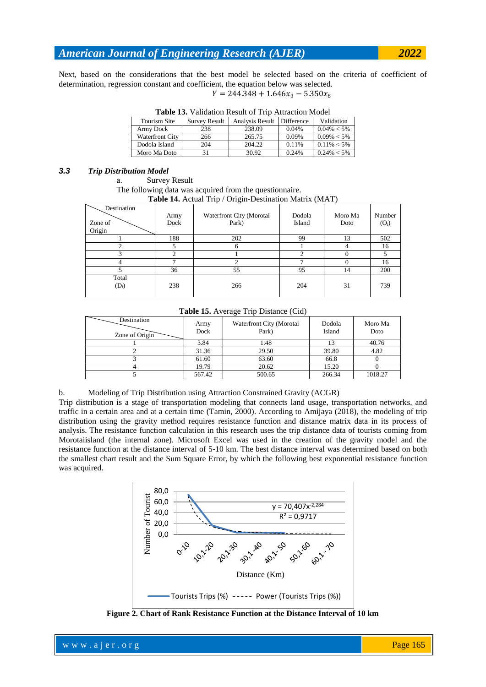Next, based on the considerations that the best model be selected based on the criteria of coefficient of determination, regression constant and coefficient, the equation below was selected.  $Y = 244.348 + 1.646x_3 - 5.350x_8$ 

| <b>Table 13.</b> Validation Result of Trip Attraction Model |                      |                 |            |                |  |  |  |  |
|-------------------------------------------------------------|----------------------|-----------------|------------|----------------|--|--|--|--|
| Tourism Site                                                | <b>Survey Result</b> | Analysis Result | Difference | Validation     |  |  |  |  |
| Army Dock                                                   | 238                  | 238.09          | 0.04%      | $0.04\% < 5\%$ |  |  |  |  |
| <b>Waterfront City</b>                                      | 266                  | 265.75          | 0.09%      | $0.09\% < 5\%$ |  |  |  |  |
| Dodola Island                                               | 204                  | 204.22          | 0.11%      | $0.11\% < 5\%$ |  |  |  |  |
| Moro Ma Doto                                                | 31                   | 30.92           | 0.24%      | $0.24\% < 5\%$ |  |  |  |  |

#### *3.3 Trip Distribution Model*

a. Survey Result

The following data was acquired from the questionnaire.

**Table 14.** Actual Trip / Origin-Destination Matrix (MAT)

| Destination<br>Zone of<br>Origin | Army<br>Dock | Waterfront City (Morotai<br>Park) | Dodola<br>Island | Moro Ma<br>Doto | Number<br>$(O_i)$ |
|----------------------------------|--------------|-----------------------------------|------------------|-----------------|-------------------|
|                                  | 188          | 202                               | 99               | 13              | 502               |
|                                  |              | <sub>0</sub>                      |                  |                 | 16                |
|                                  |              |                                   |                  |                 |                   |
|                                  |              |                                   |                  |                 | 16                |
|                                  | 36           | 55                                | 95               | 14              | 200               |
| Total<br>$(D_i)$                 | 238          | 266                               | 204              | 31              | 739               |

**Table 15.** Average Trip Distance (Cid)

| Destination<br>Zone of Origin | Army<br>Dock | Waterfront City (Morotai<br>Park) | Dodola<br>Island | Moro Ma<br>Doto |
|-------------------------------|--------------|-----------------------------------|------------------|-----------------|
|                               | 3.84         | 1.48                              |                  | 40.76           |
|                               | 31.36        | 29.50                             | 39.80            | 4.82            |
|                               | 61.60        | 63.60                             | 66.8             |                 |
|                               | 19.79        | 20.62                             | 15.20            |                 |
|                               | 567.42       | 500.65                            | 266.34           | 1018.27         |

b. Modeling of Trip Distribution using Attraction Constrained Gravity (ACGR)

Trip distribution is a stage of transportation modeling that connects land usage, transportation networks, and traffic in a certain area and at a certain time (Tamin, 2000). According to Amijaya (2018), the modeling of trip distribution using the gravity method requires resistance function and distance matrix data in its process of analysis. The resistance function calculation in this research uses the trip distance data of tourists coming from Morotaiisland (the internal zone). Microsoft Excel was used in the creation of the gravity model and the resistance function at the distance interval of 5-10 km. The best distance interval was determined based on both the smallest chart result and the Sum Square Error, by which the following best exponential resistance function was acquired.



**Figure 2. Chart of Rank Resistance Function at the Distance Interval of 10 km**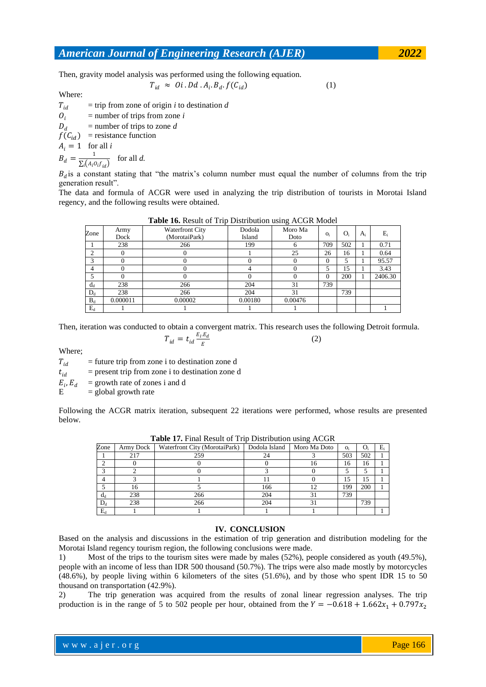Then, gravity model analysis was performed using the following equation.

$$
T_{id} \approx \mathcal{O}i \cdot \mathcal{D}d \cdot A_i \cdot B_d \cdot f(C_{id}) \tag{1}
$$

Where:

 $T_{id}$  = trip from zone of origin *i* to destination *d* 

 $O_i$  = number of trips from zone *i* 

 $D_d$  = number of trips to zone *d* 

 $f(C_{id})$  = resistance function

 $A_i = 1$  for all *i*  $R_{\perp} =$ 1 for all *d.*

$$
D_d = \frac{\sum_i (A_i O_i f_{id})}{\sum_i (A_i O_i f_{id})}
$$
 for all *a*.

 $B_d$  is a constant stating that "the matrix's column number must equal the number of columns from the trip generation result".

The data and formula of ACGR were used in analyzing the trip distribution of tourists in Morotai Island regency, and the following results were obtained.

|       |              |                                         |                  | ັ               |          |       |       |         |
|-------|--------------|-----------------------------------------|------------------|-----------------|----------|-------|-------|---------|
| Zone  | Army<br>Dock | <b>Waterfront City</b><br>(MorotaiPark) | Dodola<br>Island | Moro Ma<br>Doto | $O_i$    | $O_i$ | $A_i$ | $E_i$   |
|       | 238          | 266                                     | 199              | 6               | 709      | 502   |       | 0.71    |
| ↑     |              |                                         |                  | 25              | 26       | 16    |       | 0.64    |
| 3     |              |                                         |                  |                 | $\Omega$ | 5     |       | 95.57   |
| 4     |              |                                         |                  | 0               | 5        | 15    |       | 3.43    |
|       |              |                                         |                  |                 | $\Omega$ | 200   |       | 2406.30 |
| $d_d$ | 238          | 266                                     | 204              | 31              | 739      |       |       |         |
| $D_d$ | 238          | 266                                     | 204              | 31              |          | 739   |       |         |
| $B_d$ | 0.000011     | 0.00002                                 | 0.00180          | 0.00476         |          |       |       |         |
| $E_d$ |              |                                         |                  |                 |          |       |       |         |

**Table 16.** Result of Trip Distribution using ACGR Model

Then, iteration was conducted to obtain a convergent matrix. This research uses the following Detroit formula.

(2)

$$
T_{id} = t_{id} \frac{E_i E_d}{E}
$$

Where;

 $T_{id}$  = future trip from zone i to destination zone d

 $t_{id}$  = present trip from zone i to destination zone d

 $E_i, E_d$ = growth rate of zones i and d

 $E =$  global growth rate

Following the ACGR matrix iteration, subsequent 22 iterations were performed, whose results are presented below.

| Dodola Island<br>Waterfront City (MorotaiPark) | Moro Ma Doto | $O_i$ |     | E, |
|------------------------------------------------|--------------|-------|-----|----|
| 24                                             |              | 503   | 502 |    |
|                                                | 16           | 16    | 16  |    |
|                                                |              |       |     |    |
|                                                |              | 15    | 15  |    |
| 166                                            | 12           | 199   | 200 |    |
| 204                                            | 31           | 739   |     |    |
| 204                                            | 31           |       | 739 |    |
|                                                |              |       |     |    |
|                                                |              |       |     |    |

**Table 17.** Final Result of Trip Distribution using ACGR

# **IV. CONCLUSION**

Based on the analysis and discussions in the estimation of trip generation and distribution modeling for the Morotai Island regency tourism region, the following conclusions were made.

1) Most of the trips to the tourism sites were made by males (52%), people considered as youth (49.5%), people with an income of less than IDR 500 thousand (50.7%). The trips were also made mostly by motorcycles (48.6%), by people living within 6 kilometers of the sites (51.6%), and by those who spent IDR 15 to 50 thousand on transportation (42.9%).

2) The trip generation was acquired from the results of zonal linear regression analyses. The trip production is in the range of 5 to 502 people per hour, obtained from the  $Y = -0.618 + 1.662x_1 + 0.797x_2$